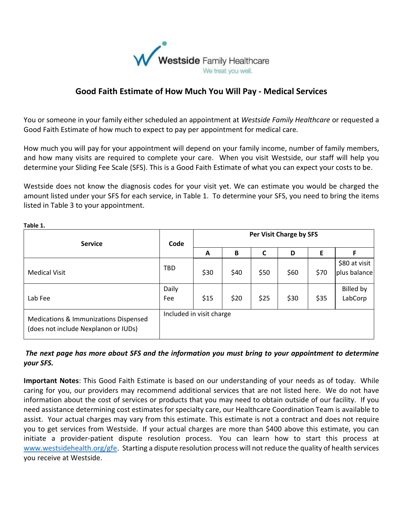

## **Good Faith Estimate of How Much You Will Pay - Medical Services**

You or someone in your family either scheduled an appointment at *Westside Family Healthcare* or requested a Good Faith Estimate of how much to expect to pay per appointment for medical care*.*

How much you will pay for your appointment will depend on your family income, number of family members, and how many visits are required to complete your care. When you visit Westside, our staff will help you determine your Sliding Fee Scale (SFS). This is a Good Faith Estimate of what you can expect your costs to be.

Westside does not know the diagnosis codes for your visit yet. We can estimate you would be charged the amount listed under your SFS for each service, in Table 1. To determine your SFS, you need to bring the items listed in Table 3 to your appointment.

| <b>Service</b>                                                                | Code                     | Per Visit Charge by SFS |      |      |      |      |                               |
|-------------------------------------------------------------------------------|--------------------------|-------------------------|------|------|------|------|-------------------------------|
|                                                                               |                          | A                       | B    | C    | D    | E    | F                             |
| <b>Medical Visit</b>                                                          | <b>TBD</b>               | \$30                    | \$40 | \$50 | \$60 | \$70 | \$80 at visit<br>plus balance |
| Lab Fee                                                                       | Daily<br>Fee             | \$15                    | \$20 | \$25 | \$30 | \$35 | Billed by<br>LabCorp          |
| Medications & Immunizations Dispensed<br>(does not include Nexplanon or IUDs) | Included in visit charge |                         |      |      |      |      |                               |

*The next page has more about SFS and the information you must bring to your appointment to determine your SFS.*

**Important Notes**: This Good Faith Estimate is based on our understanding of your needs as of today. While caring for you, our providers may recommend additional services that are not listed here. We do not have information about the cost of services or products that you may need to obtain outside of our facility. If you need assistance determining cost estimates for specialty care, our Healthcare Coordination Team is available to assist. Your actual charges may vary from this estimate. This estimate is not a contract and does not require you to get services from Westside. If your actual charges are more than \$400 above this estimate, you can initiate a provider-patient dispute resolution process. You can learn how to start this process at [www.westsidehealth.org/gfe.](http://www.westsidehealth.org/gfe) Starting a dispute resolution process will not reduce the quality of health services you receive at Westside.

**Table 1.**